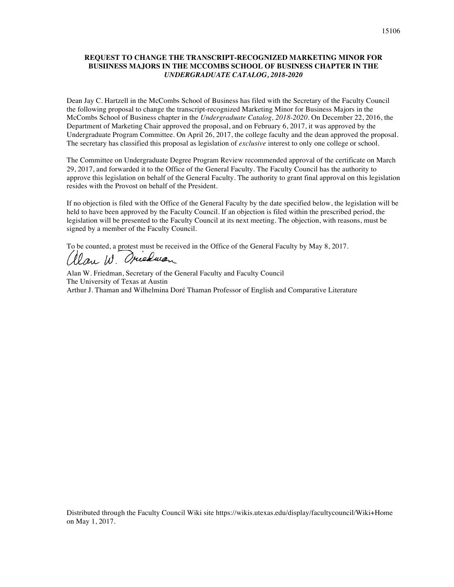### **REQUEST TO CHANGE THE TRANSCRIPT-RECOGNIZED MARKETING MINOR FOR BUSIINESS MAJORS IN THE MCCOMBS SCHOOL OF BUSINESS CHAPTER IN THE**  *UNDERGRADUATE CATALOG, 2018-2020*

Dean Jay C. Hartzell in the McCombs School of Business has filed with the Secretary of the Faculty Council the following proposal to change the transcript-recognized Marketing Minor for Business Majors in the McCombs School of Business chapter in the *Undergraduate Catalog, 2018-2020*. On December 22, 2016, the Department of Marketing Chair approved the proposal, and on February 6, 2017, it was approved by the Undergraduate Program Committee. On April 26, 2017, the college faculty and the dean approved the proposal. The secretary has classified this proposal as legislation of *exclusive* interest to only one college or school.

The Committee on Undergraduate Degree Program Review recommended approval of the certificate on March 29, 2017, and forwarded it to the Office of the General Faculty. The Faculty Council has the authority to approve this legislation on behalf of the General Faculty. The authority to grant final approval on this legislation resides with the Provost on behalf of the President.

If no objection is filed with the Office of the General Faculty by the date specified below, the legislation will be held to have been approved by the Faculty Council. If an objection is filed within the prescribed period, the legislation will be presented to the Faculty Council at its next meeting. The objection, with reasons, must be signed by a member of the Faculty Council.

To be counted, a protest must be received in the Office of the General Faculty by May 8, 2017.<br>( $\ell$ lau  $\mu$ . Orienant

Alan W. Friedman, Secretary of the General Faculty and Faculty Council The University of Texas at Austin Arthur J. Thaman and Wilhelmina Doré Thaman Professor of English and Comparative Literature

Distributed through the Faculty Council Wiki site https://wikis.utexas.edu/display/facultycouncil/Wiki+Home on May 1, 2017.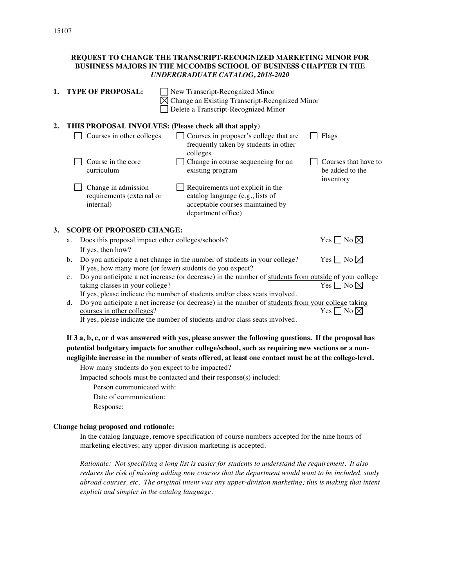|    | REQUEST TO CHANGE THE TRANSCRIPT-RECOGNIZED MARKETING MINOR FOR<br>BUSIINESS MAJORS IN THE MCCOMBS SCHOOL OF BUSINESS CHAPTER IN THE<br><b>UNDERGRADUATE CATALOG, 2018-2020</b>                                                                                         |  |  |  |  |  |  |
|----|-------------------------------------------------------------------------------------------------------------------------------------------------------------------------------------------------------------------------------------------------------------------------|--|--|--|--|--|--|
| 1. | <b>TYPE OF PROPOSAL:</b><br>New Transcript-Recognized Minor<br>Change an Existing Transcript-Recognized Minor<br>Delete a Transcript-Recognized Minor                                                                                                                   |  |  |  |  |  |  |
| 2. | THIS PROPOSAL INVOLVES: (Please check all that apply)                                                                                                                                                                                                                   |  |  |  |  |  |  |
|    | Courses in other colleges<br>Courses in proposer's college that are<br>Flags<br>frequently taken by students in other<br>colleges                                                                                                                                       |  |  |  |  |  |  |
|    | Change in course sequencing for an<br>Course in the core<br>Courses that have to<br>curriculum<br>existing program<br>be added to the<br>inventory                                                                                                                      |  |  |  |  |  |  |
|    | Requirements not explicit in the<br>Change in admission<br>catalog language (e.g., lists of<br>requirements (external or<br>acceptable courses maintained by<br>internal)<br>department office)                                                                         |  |  |  |  |  |  |
| 3. | <b>SCOPE OF PROPOSED CHANGE:</b>                                                                                                                                                                                                                                        |  |  |  |  |  |  |
|    | Yes $\Box$ No $\boxtimes$<br>Does this proposal impact other colleges/schools?<br>a.                                                                                                                                                                                    |  |  |  |  |  |  |
|    | If yes, then how?<br>Do you anticipate a net change in the number of students in your college?<br>Yes $\Box$ No $\boxtimes$<br>$\mathbf{b}$ .<br>If yes, how many more (or fewer) students do you expect?                                                               |  |  |  |  |  |  |
|    | Do you anticipate a net increase (or decrease) in the number of students from outside of your college<br>$\mathbf{c}$ .<br>Yes $\square$ No $\square$<br>taking classes in your college?<br>If yes, please indicate the number of students and/or class seats involved. |  |  |  |  |  |  |
|    | Do you anticipate a net increase (or decrease) in the number of students from your college taking<br>d.<br>Yes $\Box$ No $\boxtimes$<br>courses in other colleges?<br>If yes, please indicate the number of students and/or class seats involved.                       |  |  |  |  |  |  |
|    | If 3 a, b, c, or d was answered with yes, please answer the following questions. If the proposal has<br>potential budgetary impacts for another college/school, such as requiring new sections or a non-                                                                |  |  |  |  |  |  |

**negligible increase in the number of seats offered, at least one contact must be at the college-level.** How many students do you expect to be impacted?

Impacted schools must be contacted and their response(s) included:

Person communicated with:

Date of communication:

Response:

#### **Change being proposed and rationale:**

In the catalog language, remove specification of course numbers accepted for the nine hours of marketing electives; any upper-division marketing is accepted.

*Rationale: Not specifying a long list is easier for students to understand the requirement. It also reduces the risk of missing adding new courses that the department would want to be included, study abroad courses, etc. The original intent was any upper-division marketing; this is making that intent explicit and simpler in the catalog language.*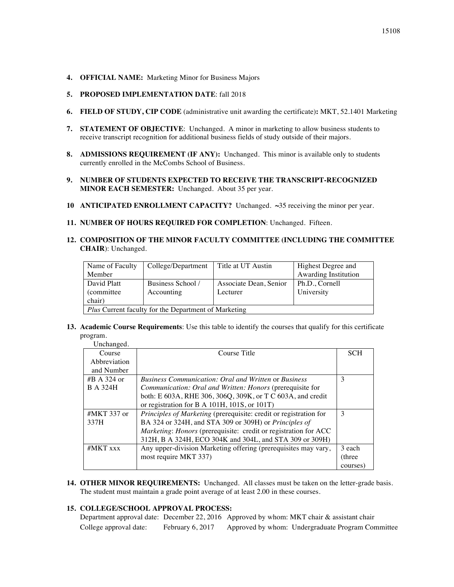- **4. OFFICIAL NAME:** Marketing Minor for Business Majors
- **5. PROPOSED IMPLEMENTATION DATE**: fall 2018
- **6. FIELD OF STUDY, CIP CODE** (administrative unit awarding the certificate)**:** MKT, 52.1401 Marketing
- **7. STATEMENT OF OBJECTIVE**: Unchanged. A minor in marketing to allow business students to receive transcript recognition for additional business fields of study outside of their majors.
- **8. ADMISSIONS REQUIREMENT (IF ANY):** Unchanged.This minor is available only to students currently enrolled in the McCombs School of Business.
- **9. NUMBER OF STUDENTS EXPECTED TO RECEIVE THE TRANSCRIPT-RECOGNIZED MINOR EACH SEMESTER:** Unchanged. About 35 per year.
- **10 ANTICIPATED ENROLLMENT CAPACITY?** Unchanged. **~**35 receiving the minor per year.
- **11. NUMBER OF HOURS REQUIRED FOR COMPLETION**: Unchanged. Fifteen.
- **12. COMPOSITION OF THE MINOR FACULTY COMMITTEE (INCLUDING THE COMMITTEE CHAIR**): Unchanged.

| Name of Faculty                                      | College/Department | Title at UT Austin     | Highest Degree and   |  |  |  |  |
|------------------------------------------------------|--------------------|------------------------|----------------------|--|--|--|--|
| Member                                               |                    |                        | Awarding Institution |  |  |  |  |
| David Platt                                          | Business School /  | Associate Dean, Senior | Ph.D., Cornell       |  |  |  |  |
| (committee)                                          | Accounting         | Lecturer               | University           |  |  |  |  |
| chair)                                               |                    |                        |                      |  |  |  |  |
| Plus Current faculty for the Department of Marketing |                    |                        |                      |  |  |  |  |

**13. Academic Course Requirements**: Use this table to identify the courses that qualify for this certificate program.

| Unchanged.      |                                                                   |            |
|-----------------|-------------------------------------------------------------------|------------|
| Course          | Course Title                                                      | <b>SCH</b> |
| Abbreviation    |                                                                   |            |
| and Number      |                                                                   |            |
| #B A 324 or     | <b>Business Communication: Oral and Written or Business</b>       | 3          |
| <b>B</b> A 324H | <i>Communication: Oral and Written: Honors (prerequisite for</i>  |            |
|                 | both: E 603A, RHE 306, 306Q, 309K, or T C 603A, and credit        |            |
|                 | or registration for B A 101H, 101S, or 101T)                      |            |
| #MKT 337 or     | Principles of Marketing (prerequisite: credit or registration for | 3          |
| 337H            | BA 324 or 324H, and STA 309 or 309H) or Principles of             |            |
|                 | Marketing: Honors (prerequisite: credit or registration for ACC   |            |
|                 | 312H, B A 324H, ECO 304K and 304L, and STA 309 or 309H)           |            |
| $#MKT$ xxx      | Any upper-division Marketing offering (prerequisites may vary,    | 3 each     |
|                 | most require MKT 337)                                             | (three)    |
|                 |                                                                   | courses)   |

**14. OTHER MINOR REQUIREMENTS:** Unchanged.All classes must be taken on the letter-grade basis. The student must maintain a grade point average of at least 2.00 in these courses.

#### **15. COLLEGE/SCHOOL APPROVAL PROCESS:**

Department approval date: December 22, 2016 Approved by whom: MKT chair & assistant chair College approval date: February 6, 2017 Approved by whom: Undergraduate Program Committee